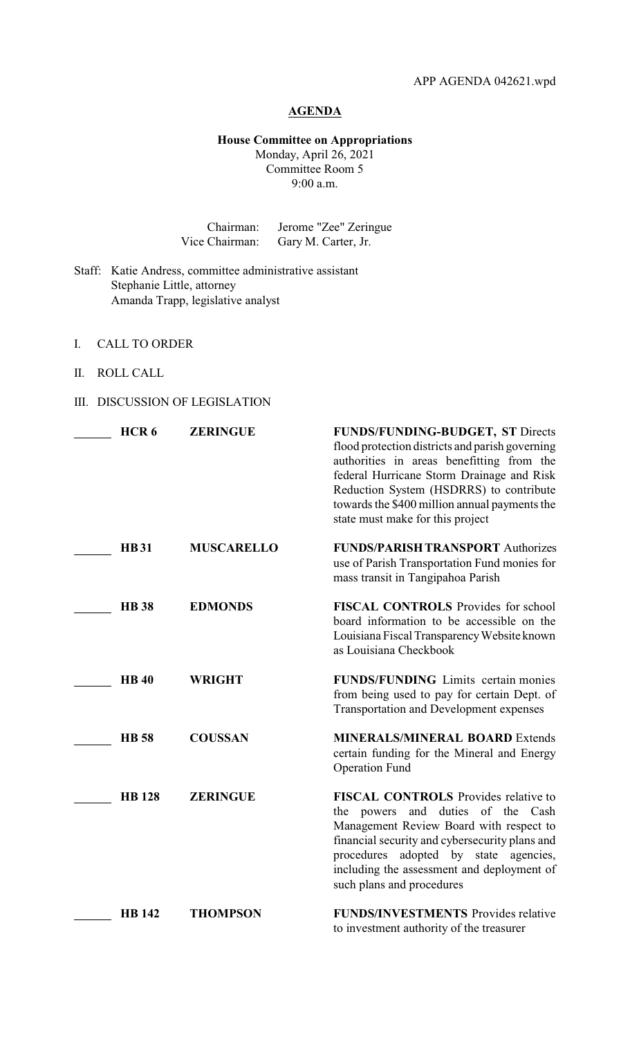## **AGENDA**

## **House Committee on Appropriations** Monday, April 26, 2021 Committee Room 5 9:00 a.m.

| Chairman:      | Jerome "Zee" Zeringue |
|----------------|-----------------------|
| Vice Chairman: | Gary M. Carter, Jr.   |

- Staff: Katie Andress, committee administrative assistant Stephanie Little, attorney Amanda Trapp, legislative analyst
- I. CALL TO ORDER
- II. ROLL CALL
- III. DISCUSSION OF LEGISLATION

| HCR <sub>6</sub> | <b>ZERINGUE</b>   | FUNDS/FUNDING-BUDGET, ST Directs<br>flood protection districts and parish governing<br>authorities in areas benefitting from the<br>federal Hurricane Storm Drainage and Risk<br>Reduction System (HSDRRS) to contribute<br>towards the \$400 million annual payments the<br>state must make for this project |
|------------------|-------------------|---------------------------------------------------------------------------------------------------------------------------------------------------------------------------------------------------------------------------------------------------------------------------------------------------------------|
| <b>HB31</b>      | <b>MUSCARELLO</b> | <b>FUNDS/PARISH TRANSPORT Authorizes</b><br>use of Parish Transportation Fund monies for<br>mass transit in Tangipahoa Parish                                                                                                                                                                                 |
| <b>HB</b> 38     | <b>EDMONDS</b>    | FISCAL CONTROLS Provides for school<br>board information to be accessible on the<br>Louisiana Fiscal Transparency Website known<br>as Louisiana Checkbook                                                                                                                                                     |
| <b>HB40</b>      | <b>WRIGHT</b>     | <b>FUNDS/FUNDING</b> Limits certain monies<br>from being used to pay for certain Dept. of<br><b>Transportation and Development expenses</b>                                                                                                                                                                   |
| <b>HB</b> 58     | <b>COUSSAN</b>    | <b>MINERALS/MINERAL BOARD Extends</b><br>certain funding for the Mineral and Energy<br><b>Operation Fund</b>                                                                                                                                                                                                  |
| <b>HB</b> 128    | <b>ZERINGUE</b>   | FISCAL CONTROLS Provides relative to<br>the powers and duties of the Cash<br>Management Review Board with respect to<br>financial security and cybersecurity plans and<br>adopted by state agencies,<br>procedures<br>including the assessment and deployment of<br>such plans and procedures                 |
| <b>HB</b> 142    | <b>THOMPSON</b>   | <b>FUNDS/INVESTMENTS</b> Provides relative<br>to investment authority of the treasurer                                                                                                                                                                                                                        |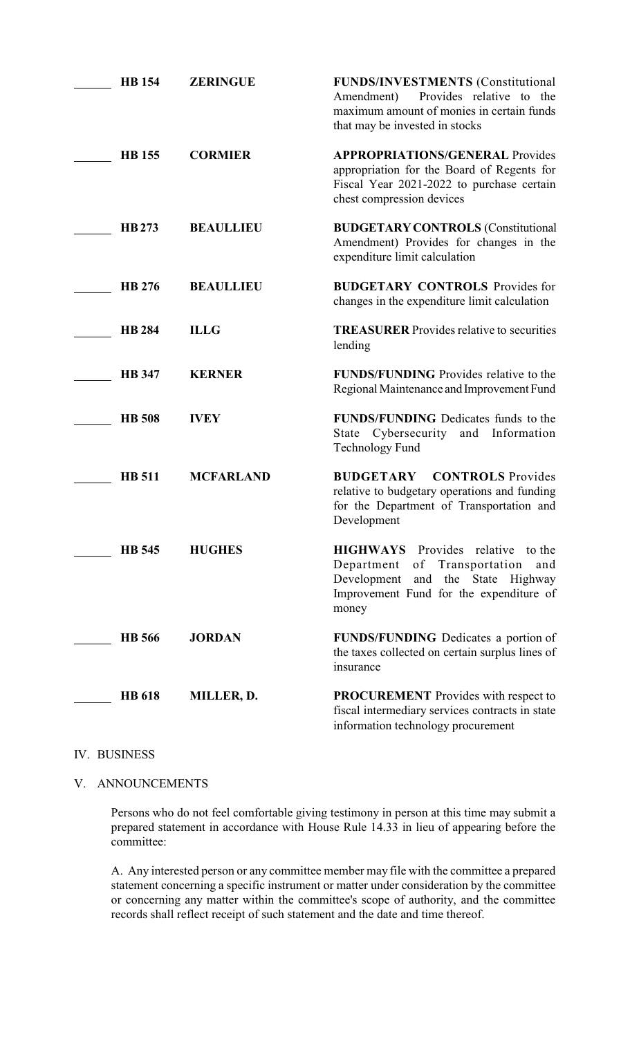| <b>HB</b> 154 | <b>ZERINGUE</b>  | <b>FUNDS/INVESTMENTS (Constitutional</b><br>Provides relative to the<br>Amendment)<br>maximum amount of monies in certain funds<br>that may be invested in stocks                 |
|---------------|------------------|-----------------------------------------------------------------------------------------------------------------------------------------------------------------------------------|
| <b>HB</b> 155 | <b>CORMIER</b>   | <b>APPROPRIATIONS/GENERAL Provides</b><br>appropriation for the Board of Regents for<br>Fiscal Year 2021-2022 to purchase certain<br>chest compression devices                    |
| HB 273        | <b>BEAULLIEU</b> | <b>BUDGETARY CONTROLS (Constitutional</b><br>Amendment) Provides for changes in the<br>expenditure limit calculation                                                              |
| HB 276        | <b>BEAULLIEU</b> | <b>BUDGETARY CONTROLS</b> Provides for<br>changes in the expenditure limit calculation                                                                                            |
| <b>HB 284</b> | <b>ILLG</b>      | <b>TREASURER</b> Provides relative to securities<br>lending                                                                                                                       |
| <b>HB</b> 347 | <b>KERNER</b>    | FUNDS/FUNDING Provides relative to the<br>Regional Maintenance and Improvement Fund                                                                                               |
| <b>HB</b> 508 | <b>IVEY</b>      | <b>FUNDS/FUNDING</b> Dedicates funds to the<br>State Cybersecurity<br>and Information<br><b>Technology Fund</b>                                                                   |
| <b>HB</b> 511 | <b>MCFARLAND</b> | <b>BUDGETARY</b><br><b>CONTROLS</b> Provides<br>relative to budgetary operations and funding<br>for the Department of Transportation and<br>Development                           |
| <b>HB</b> 545 | <b>HUGHES</b>    | <b>HIGHWAYS</b> Provides relative to the<br>of Transportation<br>Department<br>and<br>and the<br>State Highway<br>Development<br>Improvement Fund for the expenditure of<br>money |
| <b>HB</b> 566 | <b>JORDAN</b>    | <b>FUNDS/FUNDING</b> Dedicates a portion of<br>the taxes collected on certain surplus lines of<br>insurance                                                                       |
| <b>HB</b> 618 | MILLER, D.       | <b>PROCUREMENT</b> Provides with respect to<br>fiscal intermediary services contracts in state<br>information technology procurement                                              |

## IV. BUSINESS

V. ANNOUNCEMENTS

Persons who do not feel comfortable giving testimony in person at this time may submit a prepared statement in accordance with House Rule 14.33 in lieu of appearing before the committee:

A. Any interested person or any committee member may file with the committee a prepared statement concerning a specific instrument or matter under consideration by the committee or concerning any matter within the committee's scope of authority, and the committee records shall reflect receipt of such statement and the date and time thereof.